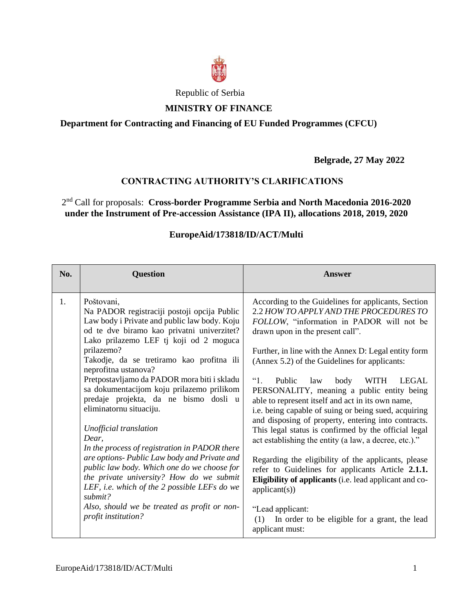

# Republic of Serbia

## **MINISTRY OF FINANCE**

## **Department for Contracting and Financing of EU Funded Programmes (CFCU)**

**Belgrade, 27 May 2022**

## **CONTRACTING AUTHORITY'S CLARIFICATIONS**

2 nd Call for proposals: **Cross-border Programme Serbia and North Macedonia 2016-2020 under the Instrument of Pre-accession Assistance (IPA II), allocations 2018, 2019, 2020**

## **EuropeAid/173818/ID/ACT/Multi**

| No. | <b>Question</b>                                                                                                                                                                                                                                                                                                                                                                                                                                                                                                                                                                                                                                                                                                                                                                                                       | Answer                                                                                                                                                                                                                                                                                                                                                                                                                                                                                                                                                                                                                                                                                                                                                                                                                                                                                                                                                                                    |
|-----|-----------------------------------------------------------------------------------------------------------------------------------------------------------------------------------------------------------------------------------------------------------------------------------------------------------------------------------------------------------------------------------------------------------------------------------------------------------------------------------------------------------------------------------------------------------------------------------------------------------------------------------------------------------------------------------------------------------------------------------------------------------------------------------------------------------------------|-------------------------------------------------------------------------------------------------------------------------------------------------------------------------------------------------------------------------------------------------------------------------------------------------------------------------------------------------------------------------------------------------------------------------------------------------------------------------------------------------------------------------------------------------------------------------------------------------------------------------------------------------------------------------------------------------------------------------------------------------------------------------------------------------------------------------------------------------------------------------------------------------------------------------------------------------------------------------------------------|
| 1.  | Poštovani,<br>Na PADOR registraciji postoji opcija Public<br>Law body i Private and public law body. Koju<br>od te dve biramo kao privatni univerzitet?<br>Lako prilazemo LEF tj koji od 2 moguca<br>prilazemo?<br>Takodje, da se tretiramo kao profitna ili<br>neprofitna ustanova?<br>Pretpostavljamo da PADOR mora biti i skladu<br>sa dokumentacijom koju prilazemo prilikom<br>predaje projekta, da ne bismo dosli u<br>eliminatornu situaciju.<br>Unofficial translation<br>Dear,<br>In the process of registration in PADOR there<br>are options- Public Law body and Private and<br>public law body. Which one do we choose for<br>the private university? How do we submit<br>LEF, i.e. which of the 2 possible LEFs do we<br>submit?<br>Also, should we be treated as profit or non-<br>profit institution? | According to the Guidelines for applicants, Section<br>2.2 HOW TO APPLY AND THE PROCEDURES TO<br>FOLLOW, "information in PADOR will not be<br>drawn upon in the present call".<br>Further, in line with the Annex D: Legal entity form<br>(Annex 5.2) of the Guidelines for applicants:<br>$\lq\lq\lq\lq$<br>Public<br>law<br>body<br><b>WITH</b><br><b>LEGAL</b><br>PERSONALITY, meaning a public entity being<br>able to represent itself and act in its own name,<br>i.e. being capable of suing or being sued, acquiring<br>and disposing of property, entering into contracts.<br>This legal status is confirmed by the official legal<br>act establishing the entity (a law, a decree, etc.)."<br>Regarding the eligibility of the applicants, please<br>refer to Guidelines for applicants Article 2.1.1.<br>Eligibility of applicants (i.e. lead applicant and co-<br>application(s))<br>"Lead applicant:<br>(1) In order to be eligible for a grant, the lead<br>applicant must: |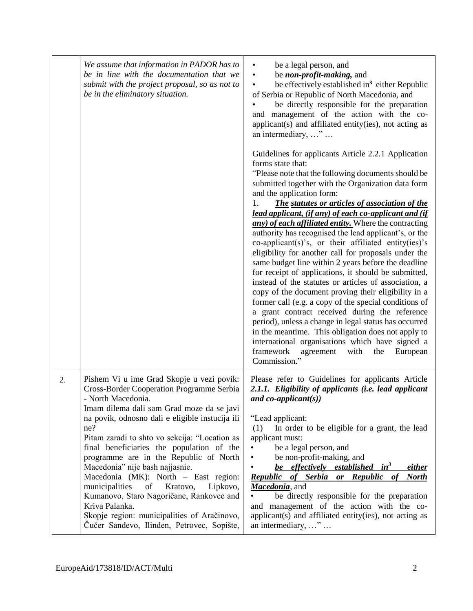|    | We assume that information in PADOR has to<br>be in line with the documentation that we<br>submit with the project proposal, so as not to<br>be in the eliminatory situation.                                                                                                                                                                                                                                                                                                                                                                                                                                                                            | be a legal person, and<br>$\bullet$<br>be <i>non-profit-making</i> , and<br>be effectively established in <sup>3</sup> either Republic<br>of Serbia or Republic of North Macedonia, and<br>be directly responsible for the preparation<br>and management of the action with the co-<br>applicant(s) and affiliated entity(ies), not acting as<br>an intermediary, "<br>Guidelines for applicants Article 2.2.1 Application<br>forms state that:<br>"Please note that the following documents should be<br>submitted together with the Organization data form<br>and the application form:<br><b>The statutes or articles of association of the</b><br>1.<br>lead applicant, (if any) of each co-applicant and (if<br>any) of each affiliated entity. Where the contracting<br>authority has recognised the lead applicant's, or the<br>$co-application(s)'s$ , or their affiliated entity(ies)'s<br>eligibility for another call for proposals under the<br>same budget line within 2 years before the deadline<br>for receipt of applications, it should be submitted,<br>instead of the statutes or articles of association, a<br>copy of the document proving their eligibility in a<br>former call (e.g. a copy of the special conditions of<br>a grant contract received during the reference<br>period), unless a change in legal status has occurred<br>in the meantime. This obligation does not apply to<br>international organisations which have signed a<br>framework<br>with<br>the<br>agreement<br>European<br>Commission." |
|----|----------------------------------------------------------------------------------------------------------------------------------------------------------------------------------------------------------------------------------------------------------------------------------------------------------------------------------------------------------------------------------------------------------------------------------------------------------------------------------------------------------------------------------------------------------------------------------------------------------------------------------------------------------|-------------------------------------------------------------------------------------------------------------------------------------------------------------------------------------------------------------------------------------------------------------------------------------------------------------------------------------------------------------------------------------------------------------------------------------------------------------------------------------------------------------------------------------------------------------------------------------------------------------------------------------------------------------------------------------------------------------------------------------------------------------------------------------------------------------------------------------------------------------------------------------------------------------------------------------------------------------------------------------------------------------------------------------------------------------------------------------------------------------------------------------------------------------------------------------------------------------------------------------------------------------------------------------------------------------------------------------------------------------------------------------------------------------------------------------------------------------------------------------------------------------------------------------------|
| 2. | Pishem Vi u ime Grad Skopje u vezi povik:<br><b>Cross-Border Cooperation Programme Serbia</b><br>- North Macedonia.<br>Imam dilema dali sam Grad moze da se javi<br>na povik, odnosno dali e eligible instucija ili<br>ne?<br>Pitam zaradi to shto vo sekcija: "Location as<br>final beneficiaries the population of the<br>programme are in the Republic of North<br>Macedonia" nije bash najjasnie.<br>Macedonia (MK): North - East region:<br>municipalities<br>of<br>Kratovo,<br>Lipkovo,<br>Kumanovo, Staro Nagoričane, Rankovce and<br>Kriva Palanka.<br>Skopje region: municipalities of Aračinovo,<br>Čučer Sandevo, Ilinden, Petrovec, Sopište, | Please refer to Guidelines for applicants Article<br>2.1.1. Eligibility of applicants (i.e. lead applicant<br>and $co\text{-}applicant(s)$<br>"Lead applicant:<br>In order to be eligible for a grant, the lead<br>(1)<br>applicant must:<br>be a legal person, and<br>$\bullet$<br>be non-profit-making, and<br>$\bullet$<br>be effectively established in <sup>3</sup><br><u>either</u><br>Republic of Serbia or Republic of<br><b>North</b><br>Macedonia, and<br>be directly responsible for the preparation<br>and management of the action with the co-<br>applicant(s) and affiliated entity(ies), not acting as<br>an intermediary, "                                                                                                                                                                                                                                                                                                                                                                                                                                                                                                                                                                                                                                                                                                                                                                                                                                                                                              |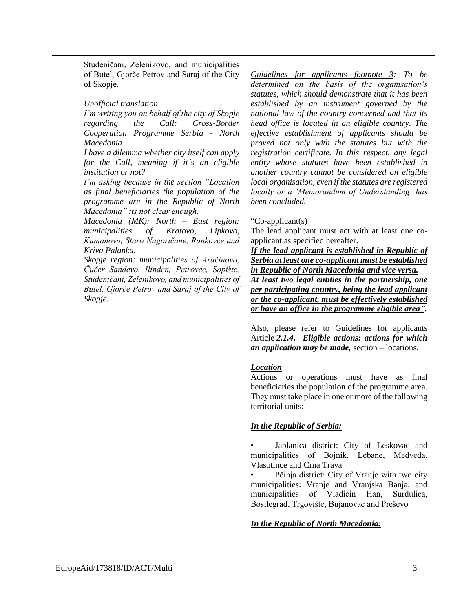Studeničani, Zelenikovo, and municipalities of Butel, Gjorče Petrov and Saraj of the City of Skopje.

*Unofficial translation*

*I'm writing you on behalf of the city of Skopje regarding the Call: Cross-Border Cooperation Programme Serbia - North Macedonia.*

*I have a dilemma whether city itself can apply for the Call, meaning if it's an eligible institution or not?*

*I'm asking because in the section "Location as final beneficiaries the population of the programme are in the Republic of North Macedonia" its not clear enough.*

*Macedonia (MK): North – East region: municipalities of Kratovo, Lipkovo, Kumanovo, Staro Nagoričane, Rankovce and Kriva Palanka.*

*Skopje region: municipalities of Aračinovo, Čučer Sandevo, Ilinden, Petrovec, Sopište, Studeničani, Zelenikovo, and municipalities of Butel, Gjorče Petrov and Saraj of the City of Skopje.*

*Guidelines for applicants footnote 3: To be determined on the basis of the organisation's statutes, which should demonstrate that it has been established by an instrument governed by the national law of the country concerned and that its head office is located in an eligible country. The effective establishment of applicants should be proved not only with the statutes but with the registration certificate. In this respect, any legal entity whose statutes have been established in another country cannot be considered an eligible local organisation, even if the statutes are registered locally or a 'Memorandum of Understanding' has been concluded.*

#### "Co-applicant(s)

The lead applicant must act with at least one coapplicant as specified hereafter.

*If the lead applicant is established in Republic of Serbia at least one co-applicant must be established in Republic of North Macedonia and vice versa. At least two legal entities in the partnership, one per participating country, being the lead applicant or the co-applicant, must be effectively established or have an office in the programme eligible area"*.

Also, please refer to Guidelines for applicants Article *2.1.4. Eligible actions: actions for which an application may be made,* section – locations.

#### *Location*

Actions or operations must have as final beneficiaries the population of the programme area. They must take place in one or more of the following territorial units:

#### *In the Republic of Serbia:*

Jablanica district: City of Leskovac and municipalities of Bojnik, Lebane, Medveđa, Vlasotince and Crna Trava

Pčinja district: City of Vranje with two city municipalities: Vranje and Vranjska Banja, and municipalities of Vladičin Han, Surdulica, Bosilegrad, Trgovište, Bujanovac and Preševo

*In the Republic of North Macedonia:*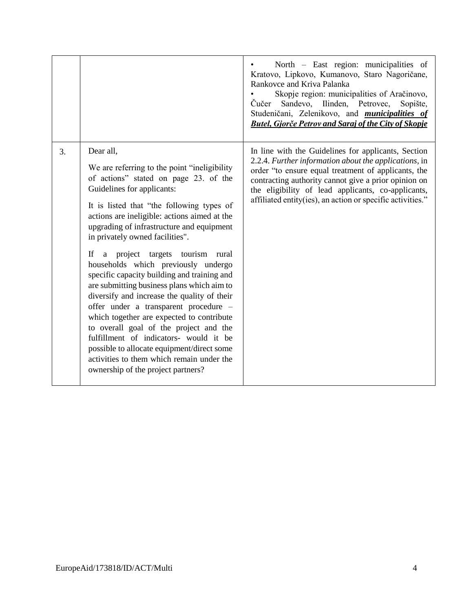|    |                                                                                                                                                                                                                                                                                                                                                                                                                                                                                                                                                                                                                                                                                                                                                                                                                                                    | North - East region: municipalities of<br>Kratovo, Lipkovo, Kumanovo, Staro Nagoričane,<br>Rankovce and Kriva Palanka<br>Skopje region: municipalities of Aračinovo,<br>Čučer Sandevo, Ilinden, Petrovec,<br>Sopište,<br>Studeničani, Zelenikovo, and <i>municipalities of</i><br><b>Butel, Gjorče Petrov and Saraj of the City of Skopje</b>   |
|----|----------------------------------------------------------------------------------------------------------------------------------------------------------------------------------------------------------------------------------------------------------------------------------------------------------------------------------------------------------------------------------------------------------------------------------------------------------------------------------------------------------------------------------------------------------------------------------------------------------------------------------------------------------------------------------------------------------------------------------------------------------------------------------------------------------------------------------------------------|-------------------------------------------------------------------------------------------------------------------------------------------------------------------------------------------------------------------------------------------------------------------------------------------------------------------------------------------------|
| 3. | Dear all,<br>We are referring to the point "ineligibility"<br>of actions" stated on page 23. of the<br>Guidelines for applicants:<br>It is listed that "the following types of<br>actions are ineligible: actions aimed at the<br>upgrading of infrastructure and equipment<br>in privately owned facilities".<br>If a project targets tourism rural<br>households which previously undergo<br>specific capacity building and training and<br>are submitting business plans which aim to<br>diversify and increase the quality of their<br>offer under a transparent procedure -<br>which together are expected to contribute<br>to overall goal of the project and the<br>fulfillment of indicators- would it be<br>possible to allocate equipment/direct some<br>activities to them which remain under the<br>ownership of the project partners? | In line with the Guidelines for applicants, Section<br>2.2.4. Further information about the applications, in<br>order "to ensure equal treatment of applicants, the<br>contracting authority cannot give a prior opinion on<br>the eligibility of lead applicants, co-applicants,<br>affiliated entity(ies), an action or specific activities." |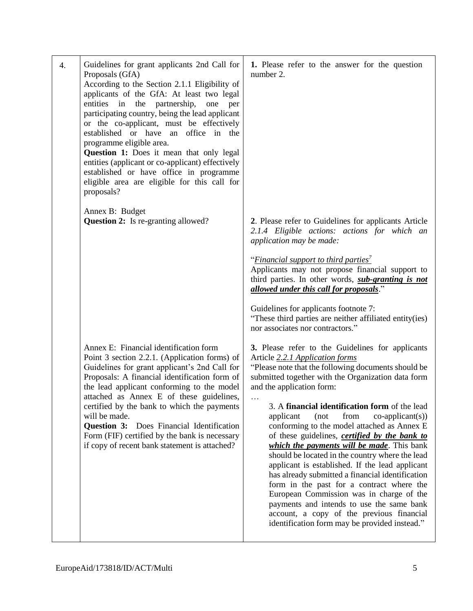| 4. | Guidelines for grant applicants 2nd Call for<br>Proposals (GfA)<br>According to the Section 2.1.1 Eligibility of<br>applicants of the GfA: At least two legal<br>entities in<br>the<br>partnership,<br>one<br>per<br>participating country, being the lead applicant<br>or the co-applicant, must be effectively<br>established or have an office in the<br>programme eligible area.<br>Question 1: Does it mean that only legal<br>entities (applicant or co-applicant) effectively<br>established or have office in programme<br>eligible area are eligible for this call for<br>proposals? | 1. Please refer to the answer for the question<br>number 2.                                                                                                                                                                                                                                                                                                                                                                                                                                                                                                                                                                                                                                                                                                                                                                                                                                                                              |
|----|-----------------------------------------------------------------------------------------------------------------------------------------------------------------------------------------------------------------------------------------------------------------------------------------------------------------------------------------------------------------------------------------------------------------------------------------------------------------------------------------------------------------------------------------------------------------------------------------------|------------------------------------------------------------------------------------------------------------------------------------------------------------------------------------------------------------------------------------------------------------------------------------------------------------------------------------------------------------------------------------------------------------------------------------------------------------------------------------------------------------------------------------------------------------------------------------------------------------------------------------------------------------------------------------------------------------------------------------------------------------------------------------------------------------------------------------------------------------------------------------------------------------------------------------------|
|    | Annex B: Budget<br><b>Question 2:</b> Is re-granting allowed?                                                                                                                                                                                                                                                                                                                                                                                                                                                                                                                                 | 2. Please refer to Guidelines for applicants Article<br>2.1.4 Eligible actions: actions for which an<br>application may be made:<br>" <i>Financial support to third parties</i> "<br>Applicants may not propose financial support to<br>third parties. In other words, <i>sub-granting is not</i><br>allowed under this call for proposals."<br>Guidelines for applicants footnote 7:<br>"These third parties are neither affiliated entity(ies)                                                                                                                                                                                                                                                                                                                                                                                                                                                                                         |
|    | Annex E: Financial identification form<br>Point 3 section 2.2.1. (Application forms) of<br>Guidelines for grant applicant's 2nd Call for<br>Proposals: A financial identification form of<br>the lead applicant conforming to the model<br>attached as Annex E of these guidelines,<br>certified by the bank to which the payments<br>will be made.<br>Question 3:<br>Does Financial Identification<br>Form (FIF) certified by the bank is necessary<br>if copy of recent bank statement is attached?                                                                                         | nor associates nor contractors."<br>3. Please refer to the Guidelines for applicants<br>Article 2.2.1 Application forms<br>"Please note that the following documents should be<br>submitted together with the Organization data form<br>and the application form:<br>$\cdots$<br>3. A financial identification form of the lead<br>applicant<br>from<br>(not)<br>$co-application(s))$<br>conforming to the model attached as Annex E<br>of these guidelines, <i>certified by the bank to</i><br>which the payments will be made. This bank<br>should be located in the country where the lead<br>applicant is established. If the lead applicant<br>has already submitted a financial identification<br>form in the past for a contract where the<br>European Commission was in charge of the<br>payments and intends to use the same bank<br>account, a copy of the previous financial<br>identification form may be provided instead." |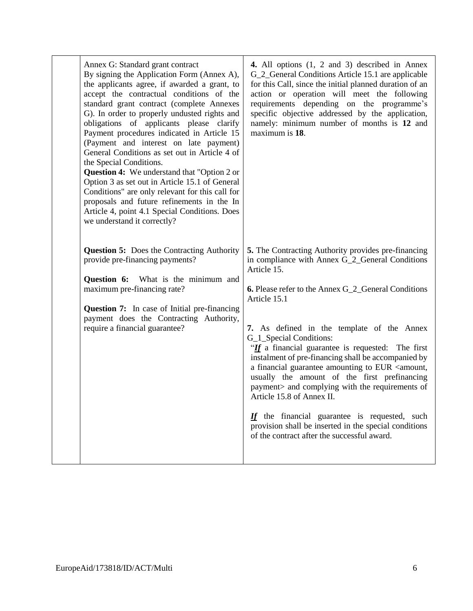| Annex G: Standard grant contract<br>By signing the Application Form (Annex A),<br>the applicants agree, if awarded a grant, to<br>accept the contractual conditions of the<br>standard grant contract (complete Annexes<br>G). In order to properly undusted rights and<br>obligations of applicants please clarify<br>Payment procedures indicated in Article 15<br>(Payment and interest on late payment)<br>General Conditions as set out in Article 4 of<br>the Special Conditions.<br><b>Question 4:</b> We understand that "Option 2 or<br>Option 3 as set out in Article 15.1 of General<br>Conditions" are only relevant for this call for<br>proposals and future refinements in the In<br>Article 4, point 4.1 Special Conditions. Does<br>we understand it correctly? | 4. All options (1, 2 and 3) described in Annex<br>G_2_General Conditions Article 15.1 are applicable<br>for this Call, since the initial planned duration of an<br>action or operation will meet the following<br>requirements depending on the programme's<br>specific objective addressed by the application,<br>namely: minimum number of months is 12 and<br>maximum is 18.                                                                                                                                                                                                                                                                                                                                                                                                                 |
|----------------------------------------------------------------------------------------------------------------------------------------------------------------------------------------------------------------------------------------------------------------------------------------------------------------------------------------------------------------------------------------------------------------------------------------------------------------------------------------------------------------------------------------------------------------------------------------------------------------------------------------------------------------------------------------------------------------------------------------------------------------------------------|-------------------------------------------------------------------------------------------------------------------------------------------------------------------------------------------------------------------------------------------------------------------------------------------------------------------------------------------------------------------------------------------------------------------------------------------------------------------------------------------------------------------------------------------------------------------------------------------------------------------------------------------------------------------------------------------------------------------------------------------------------------------------------------------------|
| <b>Question 5:</b> Does the Contracting Authority<br>provide pre-financing payments?<br>Question 6:<br>What is the minimum and<br>maximum pre-financing rate?<br><b>Question 7:</b> In case of Initial pre-financing<br>payment does the Contracting Authority,<br>require a financial guarantee?                                                                                                                                                                                                                                                                                                                                                                                                                                                                                | 5. The Contracting Authority provides pre-financing<br>in compliance with Annex G_2_General Conditions<br>Article 15.<br><b>6.</b> Please refer to the Annex G <sub>1</sub> 2 <sub>1</sub> General Conditions<br>Article 15.1<br>7. As defined in the template of the Annex<br>G_1_Special Conditions:<br>"If a financial guarantee is requested: The first<br>instalment of pre-financing shall be accompanied by<br>a financial guarantee amounting to EUR <amount,<br>usually the amount of the first prefinancing<br/>payment&gt; and complying with the requirements of<br/>Article 15.8 of Annex II.<br/><math>I</math> the financial guarantee is requested, such<br/>provision shall be inserted in the special conditions<br/>of the contract after the successful award.</amount,<br> |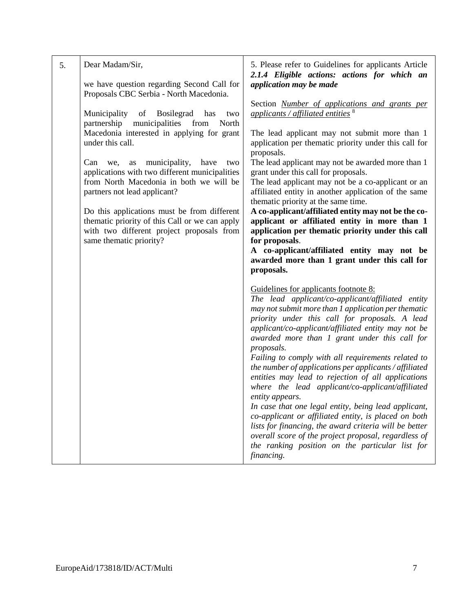| 5. | Dear Madam/Sir,<br>we have question regarding Second Call for<br>Proposals CBC Serbia - North Macedonia.                                                                                                                                                                                                                                                                                                                                                                                                                            | 5. Please refer to Guidelines for applicants Article<br>2.1.4 Eligible actions: actions for which an<br>application may be made                                                                                                                                                                                                                                                                                                                                                                                                                                                                                                                                                                                                                                                                                                                                           |
|----|-------------------------------------------------------------------------------------------------------------------------------------------------------------------------------------------------------------------------------------------------------------------------------------------------------------------------------------------------------------------------------------------------------------------------------------------------------------------------------------------------------------------------------------|---------------------------------------------------------------------------------------------------------------------------------------------------------------------------------------------------------------------------------------------------------------------------------------------------------------------------------------------------------------------------------------------------------------------------------------------------------------------------------------------------------------------------------------------------------------------------------------------------------------------------------------------------------------------------------------------------------------------------------------------------------------------------------------------------------------------------------------------------------------------------|
|    | Municipality<br>of<br><b>Bosilegrad</b><br>has<br>two<br>partnership<br>municipalities<br>from<br>North<br>Macedonia interested in applying for grant<br>under this call.<br>municipality,<br>Can<br>have<br>as<br>two<br>we,<br>applications with two different municipalities<br>from North Macedonia in both we will be<br>partners not lead applicant?<br>Do this applications must be from different<br>thematic priority of this Call or we can apply<br>with two different project proposals from<br>same thematic priority? | Section <b>Number</b> of applications and grants per<br>applicants / affiliated entities $8$<br>The lead applicant may not submit more than 1<br>application per thematic priority under this call for<br>proposals.<br>The lead applicant may not be awarded more than 1<br>grant under this call for proposals.<br>The lead applicant may not be a co-applicant or an<br>affiliated entity in another application of the same<br>thematic priority at the same time.<br>A co-applicant/affiliated entity may not be the co-<br>applicant or affiliated entity in more than 1<br>application per thematic priority under this call<br>for proposals.<br>A co-applicant/affiliated entity may not be<br>awarded more than 1 grant under this call for<br>proposals.                                                                                                       |
|    |                                                                                                                                                                                                                                                                                                                                                                                                                                                                                                                                     | Guidelines for applicants footnote 8:<br>The lead applicant/co-applicant/affiliated entity<br>may not submit more than 1 application per thematic<br>priority under this call for proposals. A lead<br>applicant/co-applicant/affiliated entity may not be<br>awarded more than 1 grant under this call for<br>proposals.<br>Failing to comply with all requirements related to<br>the number of applications per applicants / affiliated<br>entities may lead to rejection of all applications<br>where the lead applicant/co-applicant/affiliated<br>entity appears.<br>In case that one legal entity, being lead applicant,<br>co-applicant or affiliated entity, is placed on both<br>lists for financing, the award criteria will be better<br>overall score of the project proposal, regardless of<br>the ranking position on the particular list for<br>financing. |